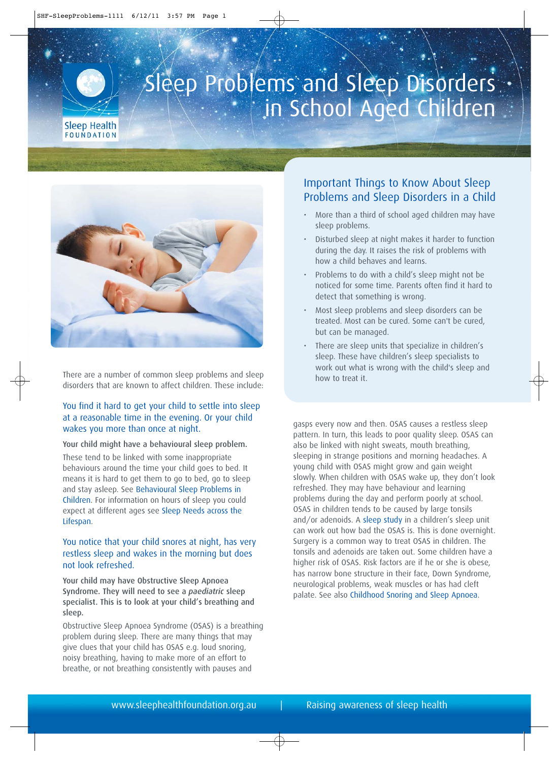

# Sleep Problems and Sleep Disorders in School Aged Children



There are a number of common sleep problems and sleep disorders that are known to affect children. These include:

## You find it hard to get your child to settle into sleep at a reasonable time in the evening. Or your child wakes you more than once at night.

#### Your child might have a behavioural sleep problem.

These tend to be linked with some inappropriate behaviours around the time your child goes to bed. It means it is hard to get them to go to bed, go to sleep and stay asleep. Se[e Behavioural Sleep Problems in](http://sleephealthfoundation.org.au/pdfs/Behavioural%20Sleep%20Problems%20in%20Children.pdf) [Children. F](http://sleephealthfoundation.org.au/pdfs/Behavioural%20Sleep%20Problems%20in%20Children.pdf)or information on hours of sleep you could expect at different ages see [Sleep Needs across the](http://sleephealthfoundation.org.au/pdfs/Sleep Needs Across Lifespan.pdf) [Lifespan.](http://sleephealthfoundation.org.au/pdfs/Sleep Needs Across Lifespan.pdf)

## You notice that your child snores at night, has very restless sleep and wakes in the morning but does not look refreshed.

Your child may have Obstructive Sleep Apnoea Syndrome. They will need to see a *paediatric* sleep specialist. This is to look at your child's breathing and sleep.

Obstructive Sleep Apnoea Syndrome (OSAS) is a breathing problem during sleep. There are many things that may give clues that your child has OSAS e.g. loud snoring, noisy breathing, having to make more of an effort to breathe, or not breathing consistently with pauses and

# Important Things to Know About Sleep Problems and Sleep Disorders in a Child

- More than a third of school aged children may have sleep problems.
- Disturbed sleep at night makes it harder to function during the day. It raises the risk of problems with how a child behaves and learns.
- Problems to do with a child's sleep might not be noticed for some time. Parents often find it hard to detect that something is wrong.
- Most sleep problems and sleep disorders can be treated. Most can be cured. Some can't be cured, but can be managed.
- There are sleep units that specialize in children's sleep. These have children's sleep specialists to work out what is wrong with the child's sleep and how to treat it.

gasps every now and then. OSAS causes a restless sleep pattern. In turn, this leads to poor quality sleep. OSAS can also be linked with night sweats, mouth breathing, sleeping in strange positions and morning headaches. A young child with OSAS might grow and gain weight slowly. When children with OSAS wake up, they don't look refreshed. They may have behaviour and learning problems during the day and perform poorly at school. OSAS in children tends to be caused by large tonsils and/or adenoids. [A sleep study](http://sleephealthfoundation.org.au/pdfs/Sleep%20Study.pdf) in a children's sleep unit can work out how bad the OSAS is. This is done overnight. Surgery is a common way to treat OSAS in children. The tonsils and adenoids are taken out. Some children have a higher risk of OSAS. Risk factors are if he or she is obese, has narrow bone structure in their face, Down Syndrome, neurological problems, weak muscles or has had cleft palate. See also [Childhood Snoring and Sleep Apnoea.](http://sleephealthfoundation.org.au/pdfs/Childhood Snoring & Sleep Apnoea.pdf)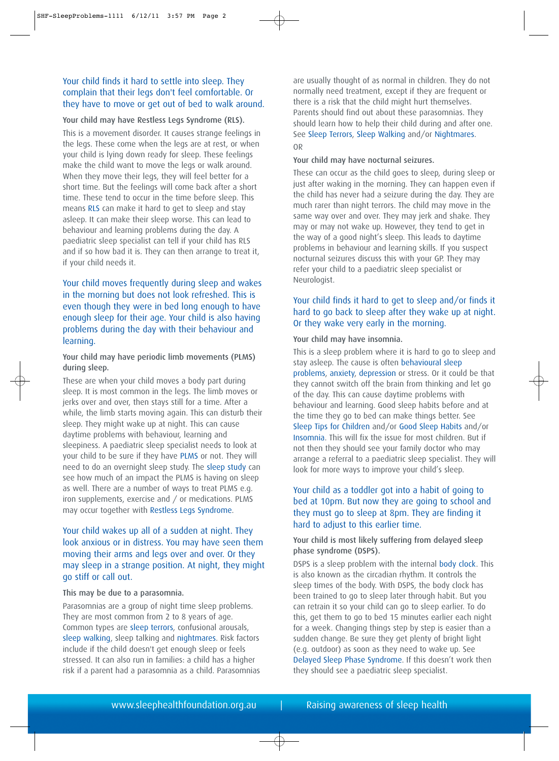## Your child finds it hard to settle into sleep. They complain that their legs don't feel comfortable. Or they have to move or get out of bed to walk around.

#### Your child may have Restless Legs Syndrome (RLS).

This is a movement disorder. It causes strange feelings in the legs. These come when the legs are at rest, or when your child is lying down ready for sleep. These feelings make the child want to move the legs or walk around. When they move their legs, they will feel better for a short time. But the feelings will come back after a short time. These tend to occur in the time before sleep. This means [RLS](http://sleephealthfoundation.org.au/pdfs/RLS and PLMS.pdf) can make it hard to get to sleep and stay asleep. It can make their sleep worse. This can lead to behaviour and learning problems during the day. A paediatric sleep specialist can tell if your child has RLS and if so how bad it is. They can then arrange to treat it, if your child needs it.

Your child moves frequently during sleep and wakes in the morning but does not look refreshed. This is even though they were in bed long enough to have enough sleep for their age. Your child is also having problems during the day with their behaviour and learning.

#### Your child may have periodic limb movements (PLMS) during sleep.

These are when your child moves a body part during sleep. It is most common in the legs. The limb moves or jerks over and over, then stays still for a time. After a while, the limb starts moving again. This can disturb their sleep. They might wake up at night. This can cause daytime problems with behaviour, learning and sleepiness. A paediatric sleep specialist needs to look at your child to be sure if they hav[e PLMS](http://sleephealthfoundation.org.au/pdfs/PLMS.pdf) or not. They will need to do an overnight sleep study. The [sleep study](http://sleephealthfoundation.org.au/pdfs/Sleep%20Study.pdf) can see how much of an impact the PLMS is having on sleep as well. There are a number of ways to treat PLMS e.g. iron supplements, exercise and / or medications. PLMS may occur together with [Restless Legs Syndrome.](http://sleephealthfoundation.org.au/pdfs/Restless-Legs.pdf)

## Your child wakes up all of a sudden at night. They look anxious or in distress. You may have seen them moving their arms and legs over and over. Or they may sleep in a strange position. At night, they might go stiff or call out.

#### This may be due to a parasomnia.

Parasomnias are a group of night time sleep problems. They are most common from 2 to 8 years of age. Common types are [sleep terrors,](http://sleephealthfoundation.org.au/pdfs/sleep%20terrors.pdf) confusional arousals, [sleep walking, s](http://sleephealthfoundation.org.au/pdfs/sleepwalking.pdf)leep talking and [nightmares.](http://sleephealthfoundation.org.au/pdfs/nightmares.pdf) Risk factors include if the child doesn't get enough sleep or feels stressed. It can also run in families: a child has a higher risk if a parent had a parasomnia as a child. Parasomnias are usually thought of as normal in children. They do not normally need treatment, except if they are frequent or there is a risk that the child might hurt themselves. Parents should find out about these parasomnias. They should learn how to help their child during and after one. See [Sleep Terrors,](http://sleephealthfoundation.org.au/pdfs/sleep%20terrors.pdf) [Sleep Walking](http://sleephealthfoundation.org.au/pdfs/sleepwalking.pdf) and/o[r Nightmares.](http://sleephealthfoundation.org.au/pdfs/nightmares.pdf) OR

#### Your child may have nocturnal seizures.

These can occur as the child goes to sleep, during sleep or just after waking in the morning. They can happen even if the child has never had a seizure during the day. They are much rarer than night terrors. The child may move in the same way over and over. They may jerk and shake. They may or may not wake up. However, they tend to get in the way of a good night's sleep. This leads to daytime problems in behaviour and learning skills. If you suspect nocturnal seizures discuss this with your GP. They may refer your child to a paediatric sleep specialist or Neurologist.

## Your child finds it hard to get to sleep and/or finds it hard to go back to sleep after they wake up at night. Or they wake very early in the morning.

#### Your child may have insomnia.

This is a sleep problem where it is hard to go to sleep and stay asleep. The cause is often [behavioural sleep](http://sleephealthfoundation.org.au/pdfs/Behavioural%20Sleep%20Problems%20in%20Children.pdf) [problems,](http://sleephealthfoundation.org.au/pdfs/Behavioural%20Sleep%20Problems%20in%20Children.pdf) [anxiety,](http://sleephealthfoundation.org.au/pdfs/Anxiety%20and%20Sleep.pdf) [depression](http://sleephealthfoundation.org.au/pdfs/Depression-and-Sleep.pdf) or stress. Or it could be that they cannot switch off the brain from thinking and let go of the day. This can cause daytime problems with behaviour and learning. Good sleep habits before and at the time they go to bed can make things better. See [Sleep Tips for Children](http://sleephealthfoundation.org.au/pdfs/facts/Sleep%20Tips%20for%20Children.pdf) and/o[r Good Sleep Habits](http://sleephealthfoundation.org.au/pdfs/Good%20Sleep%20Habits.pdf) and/or [Insomnia.](http://sleephealthfoundation.org.au/pdfs/Insomnia.pdf) This will fix the issue for most children. But if not then they should see your family doctor who may arrange a referral to a paediatric sleep specialist. They will look for more ways to improve your child's sleep.

## Your child as a toddler got into a habit of going to bed at 10pm. But now they are going to school and they must go to sleep at 8pm. They are finding it hard to adjust to this earlier time.

#### Your child is most likely suffering from delayed sleep phase syndrome (DSPS).

DSPS is a sleep problem with the internal body clock. This is also known as the circadian rhythm. It controls the sleep times of the body. With DSPS, the body clock has been trained to go to sleep later through habit. But you can retrain it so your child can go to sleep earlier. To do this, get them to go to bed 15 minutes earlier each night for a week. Changing things step by step is easier than a sudden change. Be sure they get plenty of bright light (e.g. outdoor) as soon as they need to wake up. See [Delayed Sleep Phase Syndrome.](http://sleephealthfoundation.org.au/pdfs/Delayed%20Sleep%20Phase%20Syndrome.pdf) If this doesn't work then they should see a paediatric sleep specialist.